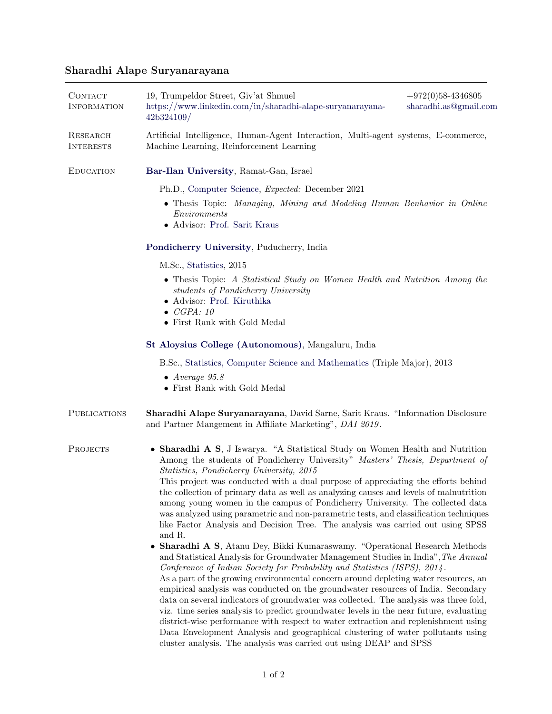## Sharadhi Alape Suryanarayana

| CONTACT<br><b>INFORMATION</b> | 19, Trumpeldor Street, Giv'at Shmuel<br>https://www.linkedin.com/in/sharadhi-alape-suryanarayana-<br>42b324109/                                                                                                                                                                                                                                                                                                                                                                                                                                                                                                                                                                                                                                                                                                                                             | $+972(0)58-4346805$<br>sharadhi.as@gmail.com |  |
|-------------------------------|-------------------------------------------------------------------------------------------------------------------------------------------------------------------------------------------------------------------------------------------------------------------------------------------------------------------------------------------------------------------------------------------------------------------------------------------------------------------------------------------------------------------------------------------------------------------------------------------------------------------------------------------------------------------------------------------------------------------------------------------------------------------------------------------------------------------------------------------------------------|----------------------------------------------|--|
| RESEARCH<br><b>INTERESTS</b>  | Artificial Intelligence, Human-Agent Interaction, Multi-agent systems, E-commerce,<br>Machine Learning, Reinforcement Learning                                                                                                                                                                                                                                                                                                                                                                                                                                                                                                                                                                                                                                                                                                                              |                                              |  |
| <b>EDUCATION</b>              | Bar-Ilan University, Ramat-Gan, Israel                                                                                                                                                                                                                                                                                                                                                                                                                                                                                                                                                                                                                                                                                                                                                                                                                      |                                              |  |
|                               | Ph.D., Computer Science, <i>Expected:</i> December 2021                                                                                                                                                                                                                                                                                                                                                                                                                                                                                                                                                                                                                                                                                                                                                                                                     |                                              |  |
|                               | • Thesis Topic: Managing, Mining and Modeling Human Benhavior in Online<br>Environments<br>• Advisor: Prof. Sarit Kraus                                                                                                                                                                                                                                                                                                                                                                                                                                                                                                                                                                                                                                                                                                                                     |                                              |  |
|                               | Pondicherry University, Puducherry, India                                                                                                                                                                                                                                                                                                                                                                                                                                                                                                                                                                                                                                                                                                                                                                                                                   |                                              |  |
|                               | M.Sc., Statistics, 2015                                                                                                                                                                                                                                                                                                                                                                                                                                                                                                                                                                                                                                                                                                                                                                                                                                     |                                              |  |
|                               | • Thesis Topic: A Statistical Study on Women Health and Nutrition Among the<br>students of Pondicherry University<br>• Advisor: Prof. Kiruthika<br>$\bullet$ CGPA: 10                                                                                                                                                                                                                                                                                                                                                                                                                                                                                                                                                                                                                                                                                       |                                              |  |
|                               | • First Rank with Gold Medal                                                                                                                                                                                                                                                                                                                                                                                                                                                                                                                                                                                                                                                                                                                                                                                                                                |                                              |  |
|                               | St Aloysius College (Autonomous), Mangaluru, India                                                                                                                                                                                                                                                                                                                                                                                                                                                                                                                                                                                                                                                                                                                                                                                                          |                                              |  |
|                               | B.Sc., Statistics, Computer Science and Mathematics (Triple Major), 2013                                                                                                                                                                                                                                                                                                                                                                                                                                                                                                                                                                                                                                                                                                                                                                                    |                                              |  |
|                               | $\bullet$ Average 95.8<br>• First Rank with Gold Medal                                                                                                                                                                                                                                                                                                                                                                                                                                                                                                                                                                                                                                                                                                                                                                                                      |                                              |  |
| <b>PUBLICATIONS</b>           | Sharadhi Alape Suryanarayana, David Sarne, Sarit Kraus. "Information Disclosure<br>and Partner Mangement in Affiliate Marketing", DAI 2019.                                                                                                                                                                                                                                                                                                                                                                                                                                                                                                                                                                                                                                                                                                                 |                                              |  |
| PROJECTS                      | • Sharadhi A S, J Iswarya. "A Statistical Study on Women Health and Nutrition<br>Among the students of Pondicherry University" Masters' Thesis, Department of<br>Statistics, Pondicherry University, 2015                                                                                                                                                                                                                                                                                                                                                                                                                                                                                                                                                                                                                                                   |                                              |  |
|                               | This project was conducted with a dual purpose of appreciating the efforts behind<br>the collection of primary data as well as analyzing causes and levels of malnutrition<br>among young women in the campus of Pondicherry University. The collected data<br>was analyzed using parametric and non-parametric tests, and classification techniques<br>like Factor Analysis and Decision Tree. The analysis was carried out using SPSS<br>and R.                                                                                                                                                                                                                                                                                                                                                                                                           |                                              |  |
|                               | • Sharadhi A S, Atanu Dey, Bikki Kumaraswamy. "Operational Research Methods<br>and Statistical Analysis for Groundwater Management Studies in India", The Annual<br>Conference of Indian Society for Probability and Statistics (ISPS), 2014.<br>As a part of the growing environmental concern around depleting water resources, an<br>empirical analysis was conducted on the groundwater resources of India. Secondary<br>data on several indicators of groundwater was collected. The analysis was three fold,<br>viz. time series analysis to predict groundwater levels in the near future, evaluating<br>district-wise performance with respect to water extraction and replenishment using<br>Data Envelopment Analysis and geographical clustering of water pollutants using<br>cluster analysis. The analysis was carried out using DEAP and SPSS |                                              |  |